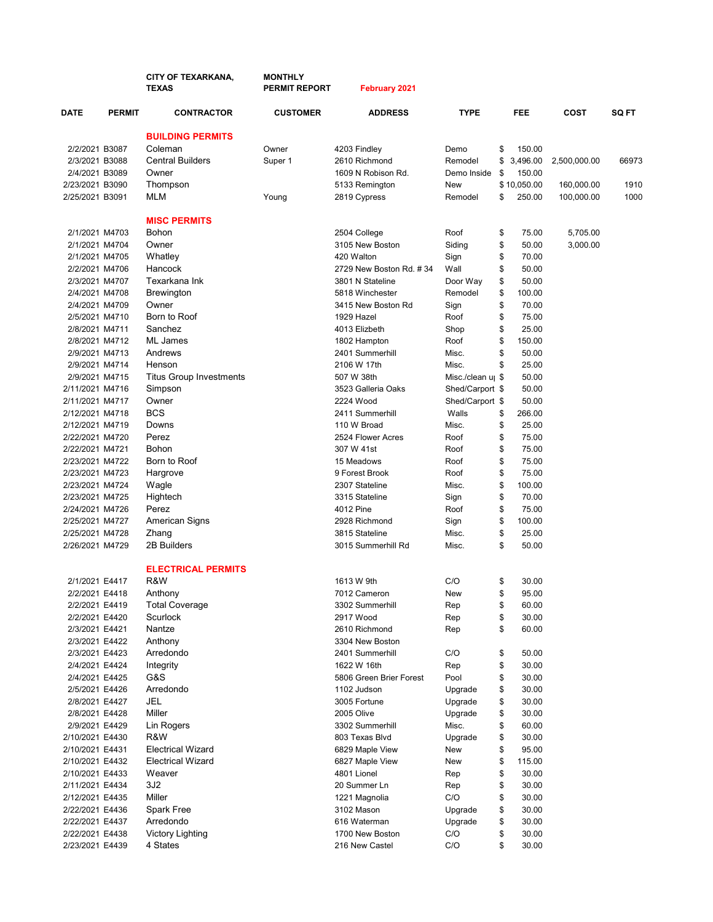|                 |               | <b>CITY OF TEXARKANA,</b><br><b>TEXAS</b> | <b>MONTHLY</b><br><b>PERMIT REPORT</b> | <b>February 2021</b>    |                               |              |              |       |
|-----------------|---------------|-------------------------------------------|----------------------------------------|-------------------------|-------------------------------|--------------|--------------|-------|
| <b>DATE</b>     | <b>PERMIT</b> | <b>CONTRACTOR</b>                         | <b>CUSTOMER</b>                        | <b>ADDRESS</b>          | <b>TYPE</b>                   | <b>FEE</b>   | COST         | SQ FT |
|                 |               | <b>BUILDING PERMITS</b>                   |                                        |                         |                               |              |              |       |
| 2/2/2021 B3087  |               | Coleman                                   | Owner                                  | 4203 Findley            | Demo                          | \$<br>150.00 |              |       |
| 2/3/2021 B3088  |               | <b>Central Builders</b>                   | Super 1                                | 2610 Richmond           | Remodel                       | \$3,496.00   | 2,500,000.00 | 66973 |
| 2/4/2021 B3089  |               | Owner                                     |                                        | 1609 N Robison Rd.      | Demo Inside                   | \$<br>150.00 |              |       |
| 2/23/2021 B3090 |               | Thompson                                  |                                        | 5133 Remington          | New                           | \$10,050.00  | 160,000.00   | 1910  |
| 2/25/2021 B3091 |               | MLM                                       | Young                                  | 2819 Cypress            | Remodel                       | \$<br>250.00 | 100,000.00   | 1000  |
|                 |               | <b>MISC PERMITS</b>                       |                                        |                         |                               |              |              |       |
| 2/1/2021 M4703  |               | <b>Bohon</b>                              |                                        | 2504 College            | Roof                          | \$<br>75.00  | 5,705.00     |       |
| 2/1/2021 M4704  |               | Owner                                     |                                        | 3105 New Boston         | Siding                        | \$<br>50.00  | 3,000.00     |       |
| 2/1/2021 M4705  |               | Whatley                                   |                                        | 420 Walton              | Sign                          | \$<br>70.00  |              |       |
| 2/2/2021 M4706  |               | Hancock                                   |                                        | 2729 New Boston Rd. #34 | Wall                          | \$<br>50.00  |              |       |
| 2/3/2021 M4707  |               | Texarkana Ink                             |                                        | 3801 N Stateline        | Door Way                      | \$<br>50.00  |              |       |
| 2/4/2021 M4708  |               | <b>Brewington</b>                         |                                        | 5818 Winchester         | Remodel                       | \$<br>100.00 |              |       |
| 2/4/2021 M4709  |               | Owner                                     |                                        | 3415 New Boston Rd      | Sign                          | \$<br>70.00  |              |       |
| 2/5/2021 M4710  |               | Born to Roof                              |                                        | 1929 Hazel              | Roof                          | \$<br>75.00  |              |       |
| 2/8/2021 M4711  |               | Sanchez                                   |                                        | 4013 Elizbeth           | Shop                          | \$<br>25.00  |              |       |
| 2/8/2021 M4712  |               | ML James                                  |                                        | 1802 Hampton            | Roof                          | \$<br>150.00 |              |       |
| 2/9/2021 M4713  |               | Andrews                                   |                                        | 2401 Summerhill         | Misc.                         | \$<br>50.00  |              |       |
| 2/9/2021 M4714  |               | Henson                                    |                                        | 2106 W 17th             | Misc.                         | \$<br>25.00  |              |       |
| 2/9/2021 M4715  |               | <b>Titus Group Investments</b>            |                                        | 507 W 38th              | Misc./clean u <sub>l</sub> \$ | 50.00        |              |       |
| 2/11/2021 M4716 |               | Simpson                                   |                                        | 3523 Galleria Oaks      | Shed/Carport \$               | 50.00        |              |       |
| 2/11/2021 M4717 |               | Owner                                     |                                        | 2224 Wood               | Shed/Carport \$               | 50.00        |              |       |
| 2/12/2021 M4718 |               | <b>BCS</b>                                |                                        | 2411 Summerhill         | Walls                         | \$<br>266.00 |              |       |
| 2/12/2021 M4719 |               | Downs                                     |                                        | 110 W Broad             | Misc.                         | \$<br>25.00  |              |       |
| 2/22/2021 M4720 |               | Perez                                     |                                        | 2524 Flower Acres       | Roof                          | \$<br>75.00  |              |       |
| 2/22/2021 M4721 |               | Bohon                                     |                                        | 307 W 41st              | Roof                          | \$<br>75.00  |              |       |
| 2/23/2021 M4722 |               | Born to Roof                              |                                        | 15 Meadows              | Roof                          | \$<br>75.00  |              |       |
| 2/23/2021 M4723 |               | Hargrove                                  |                                        | 9 Forest Brook          | Roof                          | \$<br>75.00  |              |       |
| 2/23/2021 M4724 |               | Wagle                                     |                                        | 2307 Stateline          | Misc.                         | \$<br>100.00 |              |       |
| 2/23/2021 M4725 |               | Hightech                                  |                                        | 3315 Stateline          | Sign                          | \$<br>70.00  |              |       |
| 2/24/2021 M4726 |               | Perez                                     |                                        | 4012 Pine               | Roof                          | \$<br>75.00  |              |       |
| 2/25/2021 M4727 |               | American Signs                            |                                        | 2928 Richmond           | Sign                          | \$<br>100.00 |              |       |
| 2/25/2021 M4728 |               | Zhang                                     |                                        | 3815 Stateline          | Misc.                         | \$<br>25.00  |              |       |
| 2/26/2021 M4729 |               | 2B Builders                               |                                        | 3015 Summerhill Rd      | Misc.                         | \$<br>50.00  |              |       |
|                 |               | <b>ELECTRICAL PERMITS</b>                 |                                        |                         |                               |              |              |       |
| 2/1/2021 E4417  |               | R&W                                       |                                        | 1613 W 9th              | C/O                           | \$<br>30.00  |              |       |
| 2/2/2021 E4418  |               | Anthony                                   |                                        | 7012 Cameron            | New                           | \$<br>95.00  |              |       |
| 2/2/2021 E4419  |               | <b>Total Coverage</b>                     |                                        | 3302 Summerhill         | Rep                           | \$<br>60.00  |              |       |
| 2/2/2021 E4420  |               | Scurlock                                  |                                        | 2917 Wood               | Rep                           | \$<br>30.00  |              |       |
| 2/3/2021 E4421  |               | Nantze                                    |                                        | 2610 Richmond           | Rep                           | \$<br>60.00  |              |       |
| 2/3/2021 E4422  |               | Anthony                                   |                                        | 3304 New Boston         |                               |              |              |       |
| 2/3/2021 E4423  |               | Arredondo                                 |                                        | 2401 Summerhill         | C/O                           | \$<br>50.00  |              |       |
| 2/4/2021 E4424  |               | Integrity                                 |                                        | 1622 W 16th             | Rep                           | \$<br>30.00  |              |       |
| 2/4/2021 E4425  |               | G&S                                       |                                        | 5806 Green Brier Forest | Pool                          | \$<br>30.00  |              |       |
| 2/5/2021 E4426  |               | Arredondo                                 |                                        | 1102 Judson             | Upgrade                       | \$<br>30.00  |              |       |
| 2/8/2021 E4427  |               | JEL                                       |                                        | 3005 Fortune            | Upgrade                       | \$<br>30.00  |              |       |
| 2/8/2021 E4428  |               | Miller                                    |                                        | 2005 Olive              | Upgrade                       | \$<br>30.00  |              |       |
| 2/9/2021 E4429  |               | Lin Rogers                                |                                        | 3302 Summerhill         | Misc.                         | \$<br>60.00  |              |       |
| 2/10/2021 E4430 |               | R&W                                       |                                        | 803 Texas Blvd          | Upgrade                       | \$<br>30.00  |              |       |
| 2/10/2021 E4431 |               | <b>Electrical Wizard</b>                  |                                        | 6829 Maple View         | New                           | \$<br>95.00  |              |       |
| 2/10/2021 E4432 |               | <b>Electrical Wizard</b>                  |                                        | 6827 Maple View         | New                           | \$<br>115.00 |              |       |
| 2/10/2021 E4433 |               | Weaver                                    |                                        | 4801 Lionel             | Rep                           | \$<br>30.00  |              |       |
| 2/11/2021 E4434 |               | 3J2                                       |                                        | 20 Summer Ln            | Rep                           | \$<br>30.00  |              |       |
| 2/12/2021 E4435 |               | Miller                                    |                                        | 1221 Magnolia           | C/O                           | \$<br>30.00  |              |       |
| 2/22/2021 E4436 |               | Spark Free                                |                                        | 3102 Mason              | Upgrade                       | \$<br>30.00  |              |       |
| 2/22/2021 E4437 |               | Arredondo                                 |                                        | 616 Waterman            | Upgrade                       | \$<br>30.00  |              |       |
| 2/22/2021 E4438 |               | <b>Victory Lighting</b>                   |                                        | 1700 New Boston         | C/O                           | \$<br>30.00  |              |       |
| 2/23/2021 E4439 |               | 4 States                                  |                                        | 216 New Castel          | C/O                           | \$<br>30.00  |              |       |